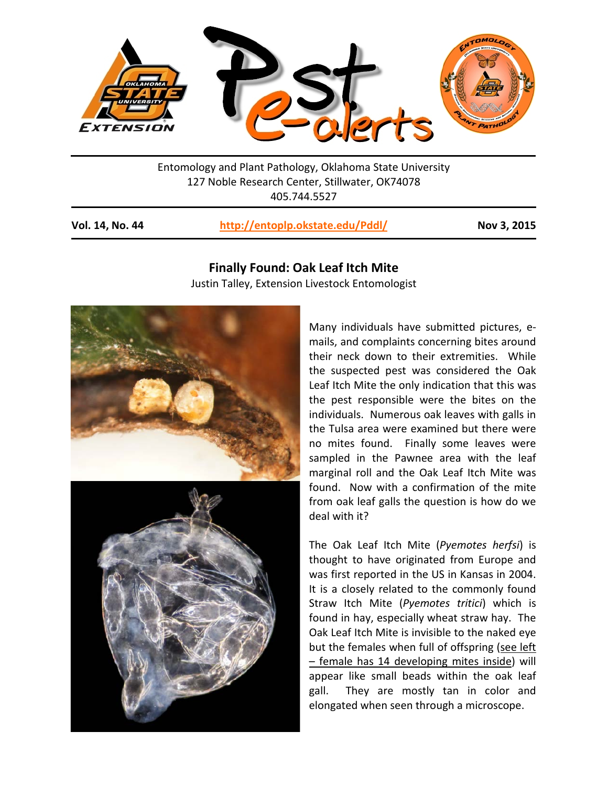

Entomology and Plant Pathology, Oklahoma State University 127 Noble Research Center, Stillwater, OK74078 405.744.5527

**Vol. 14, No. 44 <http://entoplp.okstate.edu/Pddl/> Nov 3, 2015**

**Finally Found: Oak Leaf Itch Mite** Justin Talley, Extension Livestock Entomologist



Many individuals have submitted pictures, emails, and complaints concerning bites around their neck down to their extremities. While the suspected pest was considered the Oak Leaf Itch Mite the only indication that this was the pest responsible were the bites on the individuals. Numerous oak leaves with galls in the Tulsa area were examined but there were no mites found. Finally some leaves were sampled in the Pawnee area with the leaf marginal roll and the Oak Leaf Itch Mite was found. Now with a confirmation of the mite from oak leaf galls the question is how do we deal with it?

The Oak Leaf Itch Mite (*Pyemotes herfsi*) is thought to have originated from Europe and was first reported in the US in Kansas in 2004. It is a closely related to the commonly found Straw Itch Mite (*Pyemotes tritici*) which is found in hay, especially wheat straw hay. The Oak Leaf Itch Mite is invisible to the naked eye but the females when full of offspring (see left – female has 14 developing mites inside) will appear like small beads within the oak leaf gall. They are mostly tan in color and elongated when seen through a microscope.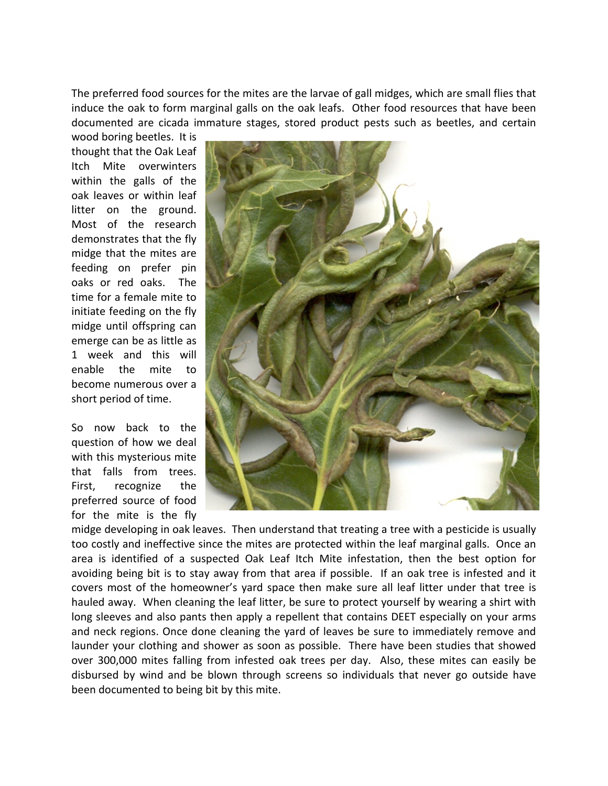The preferred food sources for the mites are the larvae of gall midges, which are small flies that induce the oak to form marginal galls on the oak leafs. Other food resources that have been documented are cicada immature stages, stored product pests such as beetles, and certain

wood boring beetles. It is thought that the Oak Leaf Itch Mite overwinters within the galls of the oak leaves or within leaf litter on the ground. Most of the research demonstrates that the fly midge that the mites are feeding on prefer pin oaks or red oaks. The time for a female mite to initiate feeding on the fly midge until offspring can emerge can be as little as 1 week and this will enable the mite to become numerous over a short period of time.

So now back to the question of how we deal with this mysterious mite that falls from trees. First, recognize the preferred source of food for the mite is the fly



midge developing in oak leaves. Then understand that treating a tree with a pesticide is usually too costly and ineffective since the mites are protected within the leaf marginal galls. Once an area is identified of a suspected Oak Leaf Itch Mite infestation, then the best option for avoiding being bit is to stay away from that area if possible. If an oak tree is infested and it covers most of the homeowner's yard space then make sure all leaf litter under that tree is hauled away. When cleaning the leaf litter, be sure to protect yourself by wearing a shirt with long sleeves and also pants then apply a repellent that contains DEET especially on your arms and neck regions. Once done cleaning the yard of leaves be sure to immediately remove and launder your clothing and shower as soon as possible. There have been studies that showed over 300,000 mites falling from infested oak trees per day. Also, these mites can easily be disbursed by wind and be blown through screens so individuals that never go outside have been documented to being bit by this mite.